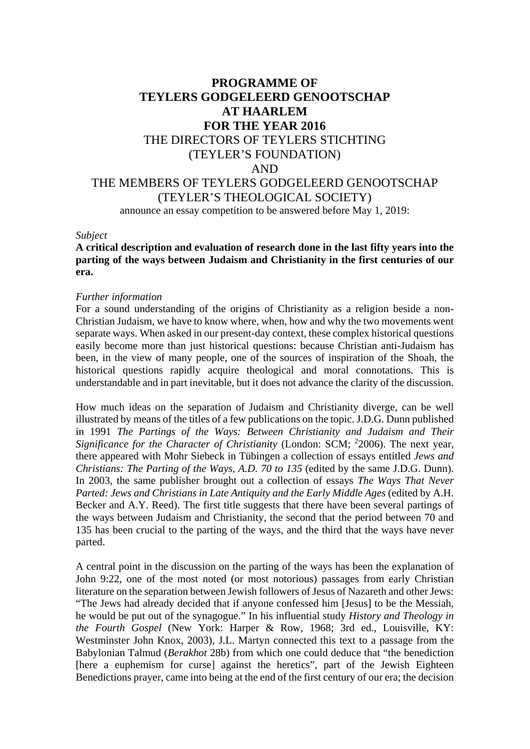## **PROGRAMME OF TEYLERS GODGELEERD GENOOTSCHAP AT HAARLEM FOR THE YEAR 2016** THE DIRECTORS OF TEYLERS STICHTING (TEYLER'S FOUNDATION) AND THE MEMBERS OF TEYLERS GODGELEERD GENOOTSCHAP (TEYLER'S THEOLOGICAL SOCIETY) announce an essay competition to be answered before May 1, 2019:

## *Subject*

## **A critical description and evaluation of research done in the last fifty years into the parting of the ways between Judaism and Christianity in the first centuries of our era.**

## *Further information*

For a sound understanding of the origins of Christianity as a religion beside a non-Christian Judaism, we have to know where, when, how and why the two movements went separate ways. When asked in our present-day context, these complex historical questions easily become more than just historical questions: because Christian anti-Judaism has been, in the view of many people, one of the sources of inspiration of the Shoah, the historical questions rapidly acquire theological and moral connotations. This is understandable and in part inevitable, but it does not advance the clarity of the discussion.

How much ideas on the separation of Judaism and Christianity diverge, can be well illustrated by means of the titles of a few publications on the topic. J.D.G. Dunn published in 1991 *The Partings of the Ways: Between Christianity and Judaism and Their*  Significance for the Character of Christianity (London: SCM; <sup>2</sup>2006). The next year, there appeared with Mohr Siebeck in Tübingen a collection of essays entitled *Jews and Christians: The Parting of the Ways, A.D. 70 to 135* (edited by the same J.D.G. Dunn). In 2003, the same publisher brought out a collection of essays *The Ways That Never Parted: Jews and Christians in Late Antiquity and the Early Middle Ages* (edited by A.H. Becker and A.Y. Reed). The first title suggests that there have been several partings of the ways between Judaism and Christianity, the second that the period between 70 and 135 has been crucial to the parting of the ways, and the third that the ways have never parted.

A central point in the discussion on the parting of the ways has been the explanation of John 9:22, one of the most noted (or most notorious) passages from early Christian literature on the separation between Jewish followers of Jesus of Nazareth and other Jews: "The Jews had already decided that if anyone confessed him [Jesus] to be the Messiah, he would be put out of the synagogue." In his influential study *History and Theology in the Fourth Gospel* (New York: Harper & Row, 1968; 3rd ed., Louisville, KY: Westminster John Knox, 2003), J.L. Martyn connected this text to a passage from the Babylonian Talmud (*Berakhot* 28b) from which one could deduce that "the benediction [here a euphemism for curse] against the heretics", part of the Jewish Eighteen Benedictions prayer, came into being at the end of the first century of our era; the decision